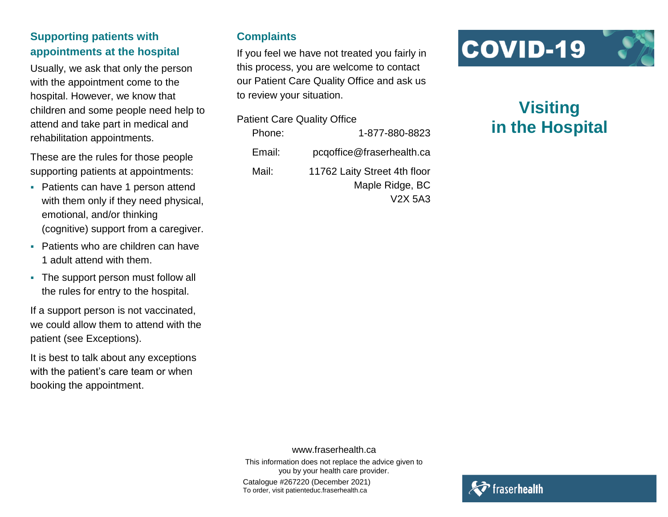# **Supporting patients with appointments at the hospital**

Usually, we ask that only the person with the appointment come to the hospital. However, we know that children and some people need help to attend and take part in medical and rehabilitation appointments.

These are the rules for those people supporting patients at appointments:

- Patients can have 1 person attend with them only if they need physical, emotional, and/or thinking (cognitive) support from a caregiver.
- Patients who are children can have 1 adult attend with them.
- The support person must follow all the rules for entry to the hospital.

If a support person is not vaccinated, we could allow them to attend with the patient (see Exceptions).

It is best to talk about any exceptions with the patient's care team or when booking the appointment.

#### **Complaints**

If you feel we have not treated you fairly in this process, you are welcome to contact our Patient Care Quality Office and ask us to review your situation.

| <b>Patient Care Quality Office</b> |                              |
|------------------------------------|------------------------------|
| Phone:                             | 1-877-880-8823               |
| Email:                             | pcqoffice@fraserhealth.ca    |
| Mail:                              | 11762 Laity Street 4th floor |
|                                    | Maple Ridge, BC              |
|                                    | V <sub>2</sub> X 5A3         |

# COVID-19

# **Visiting in the Hospital**

www.fraserhealth.ca

This information does not replace the advice given to you by your health care provider.

Catalogue #267220 (December 2021) To order, visit patienteduc.fraserhealth.ca